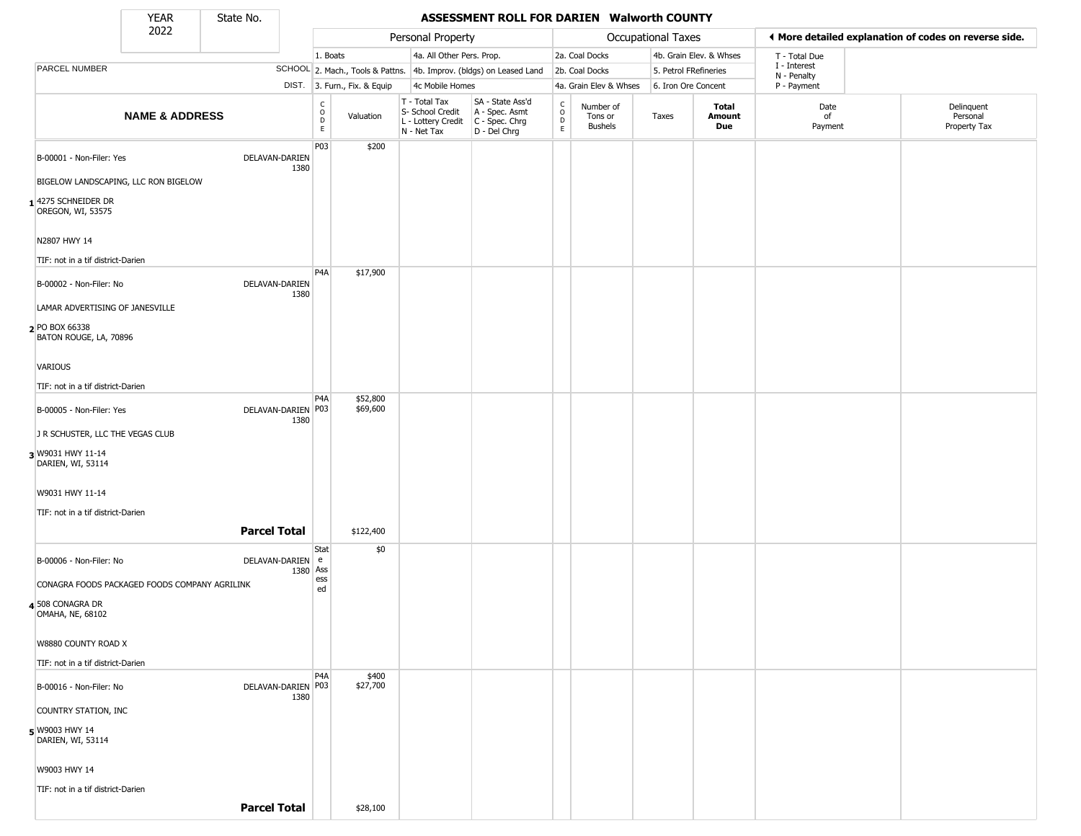State No.

ı

#### **YEAR** State No. **ASSESSMENT ROLL FOR DARIEN Walworth COUNTY**

|                                                                             | 2022                      |                            |                                                          |                              | Personal Property                                                      |                                                                        |                                            |                                        | Occupational Taxes    |                         |                             | ♦ More detailed explanation of codes on reverse side. |
|-----------------------------------------------------------------------------|---------------------------|----------------------------|----------------------------------------------------------|------------------------------|------------------------------------------------------------------------|------------------------------------------------------------------------|--------------------------------------------|----------------------------------------|-----------------------|-------------------------|-----------------------------|-------------------------------------------------------|
|                                                                             |                           |                            | 1. Boats                                                 |                              | 4a. All Other Pers. Prop.                                              |                                                                        |                                            | 2a. Coal Docks                         |                       | 4b. Grain Elev. & Whses | T - Total Due               |                                                       |
| PARCEL NUMBER                                                               |                           |                            |                                                          |                              |                                                                        | SCHOOL 2. Mach., Tools & Pattns. 4b. Improv. (bldgs) on Leased Land    |                                            | 2b. Coal Docks                         | 5. Petrol FRefineries |                         | I - Interest<br>N - Penalty |                                                       |
|                                                                             |                           |                            |                                                          | DIST. 3. Furn., Fix. & Equip | 4c Mobile Homes                                                        |                                                                        |                                            | 4a. Grain Elev & Whses                 | 6. Iron Ore Concent   |                         | P - Payment                 |                                                       |
|                                                                             | <b>NAME &amp; ADDRESS</b> |                            | $\begin{matrix} 0 \\ 0 \\ D \end{matrix}$<br>$\mathsf E$ | Valuation                    | T - Total Tax<br>S- School Credit<br>L - Lottery Credit<br>N - Net Tax | SA - State Ass'd<br>A - Spec. Asmt<br>$C - Spec. Chrg$<br>D - Del Chrg | $\begin{array}{c} C \\ O \\ E \end{array}$ | Number of<br>Tons or<br><b>Bushels</b> | Taxes                 | Total<br>Amount<br>Due  | Date<br>of<br>Payment       | Delinquent<br>Personal<br>Property Tax                |
| B-00001 - Non-Filer: Yes                                                    |                           | DELAVAN-DARIEN<br>1380     | P03                                                      | \$200                        |                                                                        |                                                                        |                                            |                                        |                       |                         |                             |                                                       |
| BIGELOW LANDSCAPING, LLC RON BIGELOW                                        |                           |                            |                                                          |                              |                                                                        |                                                                        |                                            |                                        |                       |                         |                             |                                                       |
| 14275 SCHNEIDER DR<br>OREGON, WI, 53575                                     |                           |                            |                                                          |                              |                                                                        |                                                                        |                                            |                                        |                       |                         |                             |                                                       |
| N2807 HWY 14                                                                |                           |                            |                                                          |                              |                                                                        |                                                                        |                                            |                                        |                       |                         |                             |                                                       |
| TIF: not in a tif district-Darien                                           |                           |                            |                                                          |                              |                                                                        |                                                                        |                                            |                                        |                       |                         |                             |                                                       |
| B-00002 - Non-Filer: No                                                     |                           | DELAVAN-DARIEN<br>1380     | P <sub>4</sub> A                                         | \$17,900                     |                                                                        |                                                                        |                                            |                                        |                       |                         |                             |                                                       |
| LAMAR ADVERTISING OF JANESVILLE<br>2 PO BOX 66338<br>BATON ROUGE, LA, 70896 |                           |                            |                                                          |                              |                                                                        |                                                                        |                                            |                                        |                       |                         |                             |                                                       |
| VARIOUS                                                                     |                           |                            |                                                          |                              |                                                                        |                                                                        |                                            |                                        |                       |                         |                             |                                                       |
| TIF: not in a tif district-Darien                                           |                           |                            |                                                          |                              |                                                                        |                                                                        |                                            |                                        |                       |                         |                             |                                                       |
| B-00005 - Non-Filer: Yes                                                    |                           | DELAVAN-DARIEN P03<br>1380 | P4A                                                      | \$52,800<br>\$69,600         |                                                                        |                                                                        |                                            |                                        |                       |                         |                             |                                                       |
| J R SCHUSTER, LLC THE VEGAS CLUB                                            |                           |                            |                                                          |                              |                                                                        |                                                                        |                                            |                                        |                       |                         |                             |                                                       |
| 3 W9031 HWY 11-14<br>DARIEN, WI, 53114                                      |                           |                            |                                                          |                              |                                                                        |                                                                        |                                            |                                        |                       |                         |                             |                                                       |
| W9031 HWY 11-14                                                             |                           |                            |                                                          |                              |                                                                        |                                                                        |                                            |                                        |                       |                         |                             |                                                       |
| TIF: not in a tif district-Darien                                           |                           |                            |                                                          |                              |                                                                        |                                                                        |                                            |                                        |                       |                         |                             |                                                       |
|                                                                             |                           | <b>Parcel Total</b>        |                                                          | \$122,400                    |                                                                        |                                                                        |                                            |                                        |                       |                         |                             |                                                       |
| B-00006 - Non-Filer: No                                                     |                           | DELAVAN-DARIEN e           | Stat                                                     | \$0                          |                                                                        |                                                                        |                                            |                                        |                       |                         |                             |                                                       |
| CONAGRA FOODS PACKAGED FOODS COMPANY AGRILINK                               |                           |                            | 1380 Ass<br>ess<br>ed                                    |                              |                                                                        |                                                                        |                                            |                                        |                       |                         |                             |                                                       |
| 4 508 CONAGRA DR<br>OMAHA, NE, 68102                                        |                           |                            |                                                          |                              |                                                                        |                                                                        |                                            |                                        |                       |                         |                             |                                                       |
| W8880 COUNTY ROAD X                                                         |                           |                            |                                                          |                              |                                                                        |                                                                        |                                            |                                        |                       |                         |                             |                                                       |
| TIF: not in a tif district-Darien                                           |                           |                            |                                                          |                              |                                                                        |                                                                        |                                            |                                        |                       |                         |                             |                                                       |
| B-00016 - Non-Filer: No                                                     |                           | DELAVAN-DARIEN P03<br>1380 | P <sub>4</sub> A                                         | \$400<br>\$27,700            |                                                                        |                                                                        |                                            |                                        |                       |                         |                             |                                                       |
| COUNTRY STATION, INC                                                        |                           |                            |                                                          |                              |                                                                        |                                                                        |                                            |                                        |                       |                         |                             |                                                       |
| 5 W9003 HWY 14<br>DARIEN, WI, 53114                                         |                           |                            |                                                          |                              |                                                                        |                                                                        |                                            |                                        |                       |                         |                             |                                                       |
| W9003 HWY 14                                                                |                           |                            |                                                          |                              |                                                                        |                                                                        |                                            |                                        |                       |                         |                             |                                                       |
| TIF: not in a tif district-Darien                                           |                           |                            |                                                          |                              |                                                                        |                                                                        |                                            |                                        |                       |                         |                             |                                                       |
|                                                                             |                           | <b>Parcel Total</b>        |                                                          | \$28,100                     |                                                                        |                                                                        |                                            |                                        |                       |                         |                             |                                                       |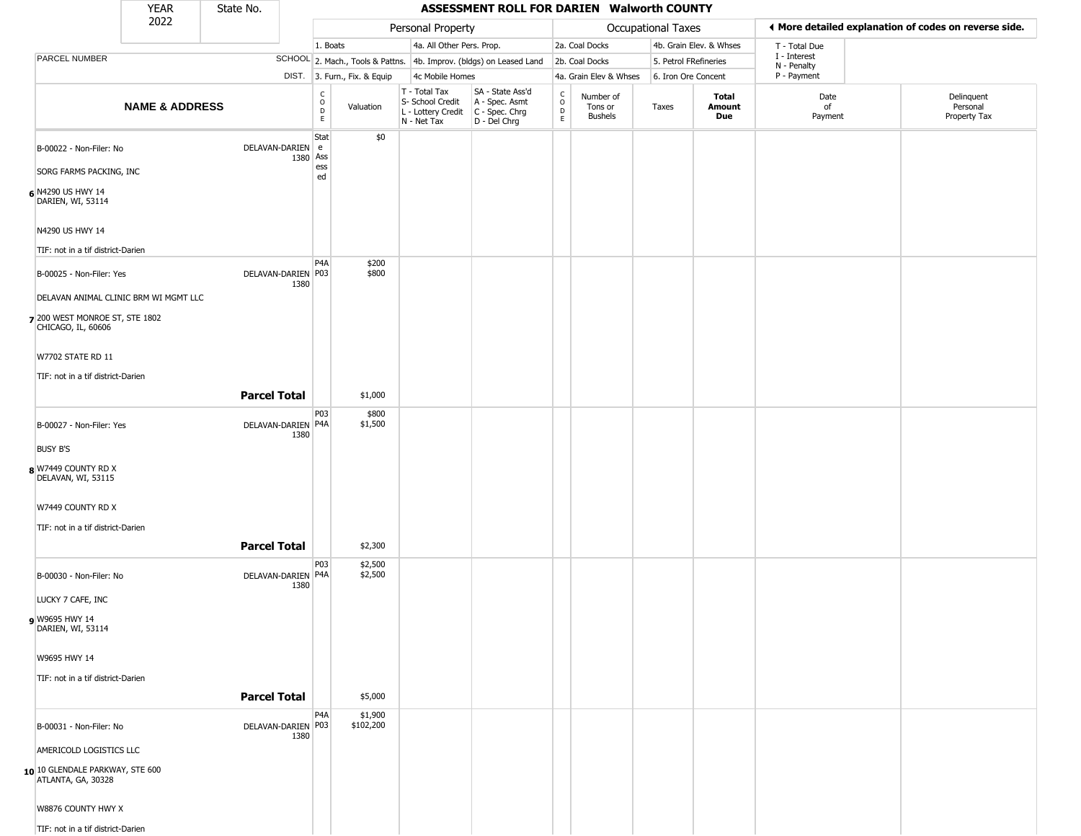|                                                       | YEAR                      | State No.           |                            |                                   |                              |                                                  | ASSESSMENT ROLL FOR DARIEN Walworth COUNTY                                              |                         |                                        |                           |                               |                             |                                                       |
|-------------------------------------------------------|---------------------------|---------------------|----------------------------|-----------------------------------|------------------------------|--------------------------------------------------|-----------------------------------------------------------------------------------------|-------------------------|----------------------------------------|---------------------------|-------------------------------|-----------------------------|-------------------------------------------------------|
|                                                       | 2022                      |                     |                            |                                   |                              | Personal Property                                |                                                                                         |                         |                                        | <b>Occupational Taxes</b> |                               |                             | ♦ More detailed explanation of codes on reverse side. |
|                                                       |                           |                     |                            | 1. Boats                          |                              | 4a. All Other Pers. Prop.                        |                                                                                         |                         | 2a. Coal Docks                         |                           | 4b. Grain Elev. & Whses       | T - Total Due               |                                                       |
| PARCEL NUMBER                                         |                           |                     |                            |                                   |                              |                                                  | SCHOOL 2. Mach., Tools & Pattns. 4b. Improv. (bldgs) on Leased Land                     |                         | 2b. Coal Docks                         | 5. Petrol FRefineries     |                               | I - Interest<br>N - Penalty |                                                       |
|                                                       |                           |                     |                            |                                   | DIST. 3. Furn., Fix. & Equip | 4c Mobile Homes                                  |                                                                                         |                         | 4a. Grain Elev & Whses                 | 6. Iron Ore Concent       |                               | P - Payment                 |                                                       |
|                                                       | <b>NAME &amp; ADDRESS</b> |                     |                            | $\frac{c}{0}$<br>$\mathsf D$<br>E | Valuation                    | T - Total Tax<br>S- School Credit<br>N - Net Tax | SA - State Ass'd<br>A - Spec. Asmt<br>L - Lottery Credit C - Spec. Chrg<br>D - Del Chrg | $\frac{c}{0}$<br>D<br>E | Number of<br>Tons or<br><b>Bushels</b> | Taxes                     | <b>Total</b><br>Amount<br>Due | Date<br>of<br>Payment       | Delinquent<br>Personal<br>Property Tax                |
| B-00022 - Non-Filer: No                               |                           | DELAVAN-DARIEN      |                            | Stat<br>l e                       | \$0                          |                                                  |                                                                                         |                         |                                        |                           |                               |                             |                                                       |
| SORG FARMS PACKING, INC                               |                           |                     | 1380 Ass                   | ess<br>ed                         |                              |                                                  |                                                                                         |                         |                                        |                           |                               |                             |                                                       |
| 6 N4290 US HWY 14<br>DARIEN, WI, 53114                |                           |                     |                            |                                   |                              |                                                  |                                                                                         |                         |                                        |                           |                               |                             |                                                       |
| N4290 US HWY 14                                       |                           |                     |                            |                                   |                              |                                                  |                                                                                         |                         |                                        |                           |                               |                             |                                                       |
| TIF: not in a tif district-Darien                     |                           |                     |                            |                                   |                              |                                                  |                                                                                         |                         |                                        |                           |                               |                             |                                                       |
| B-00025 - Non-Filer: Yes                              |                           |                     | DELAVAN-DARIEN P03<br>1380 | P <sub>4</sub> A                  | \$200<br>\$800               |                                                  |                                                                                         |                         |                                        |                           |                               |                             |                                                       |
| DELAVAN ANIMAL CLINIC BRM WI MGMT LLC                 |                           |                     |                            |                                   |                              |                                                  |                                                                                         |                         |                                        |                           |                               |                             |                                                       |
| 7 200 WEST MONROE ST, STE 1802<br>CHICAGO, IL, 60606  |                           |                     |                            |                                   |                              |                                                  |                                                                                         |                         |                                        |                           |                               |                             |                                                       |
| W7702 STATE RD 11                                     |                           |                     |                            |                                   |                              |                                                  |                                                                                         |                         |                                        |                           |                               |                             |                                                       |
| TIF: not in a tif district-Darien                     |                           |                     |                            |                                   |                              |                                                  |                                                                                         |                         |                                        |                           |                               |                             |                                                       |
|                                                       |                           | <b>Parcel Total</b> |                            |                                   | \$1,000                      |                                                  |                                                                                         |                         |                                        |                           |                               |                             |                                                       |
| B-00027 - Non-Filer: Yes                              |                           |                     | DELAVAN-DARIEN P4A<br>1380 | P03                               | \$800<br>\$1,500             |                                                  |                                                                                         |                         |                                        |                           |                               |                             |                                                       |
| <b>BUSY B'S</b>                                       |                           |                     |                            |                                   |                              |                                                  |                                                                                         |                         |                                        |                           |                               |                             |                                                       |
| 8 W7449 COUNTY RD X<br>DELAVAN, WI, 53115             |                           |                     |                            |                                   |                              |                                                  |                                                                                         |                         |                                        |                           |                               |                             |                                                       |
| W7449 COUNTY RD X                                     |                           |                     |                            |                                   |                              |                                                  |                                                                                         |                         |                                        |                           |                               |                             |                                                       |
| TIF: not in a tif district-Darien                     |                           |                     |                            |                                   |                              |                                                  |                                                                                         |                         |                                        |                           |                               |                             |                                                       |
|                                                       |                           | <b>Parcel Total</b> |                            |                                   | \$2,300                      |                                                  |                                                                                         |                         |                                        |                           |                               |                             |                                                       |
| B-00030 - Non-Filer: No                               |                           |                     | DELAVAN-DARIEN P4A<br>1380 | P03                               | \$2,500<br>\$2,500           |                                                  |                                                                                         |                         |                                        |                           |                               |                             |                                                       |
| LUCKY 7 CAFE, INC                                     |                           |                     |                            |                                   |                              |                                                  |                                                                                         |                         |                                        |                           |                               |                             |                                                       |
| W9695 HWY 14<br>DARIEN, WI, 53114                     |                           |                     |                            |                                   |                              |                                                  |                                                                                         |                         |                                        |                           |                               |                             |                                                       |
| W9695 HWY 14                                          |                           |                     |                            |                                   |                              |                                                  |                                                                                         |                         |                                        |                           |                               |                             |                                                       |
| TIF: not in a tif district-Darien                     |                           | <b>Parcel Total</b> |                            |                                   | \$5,000                      |                                                  |                                                                                         |                         |                                        |                           |                               |                             |                                                       |
|                                                       |                           |                     |                            | P <sub>4</sub> A                  | \$1,900                      |                                                  |                                                                                         |                         |                                        |                           |                               |                             |                                                       |
| B-00031 - Non-Filer: No                               |                           |                     | DELAVAN-DARIEN P03<br>1380 |                                   | \$102,200                    |                                                  |                                                                                         |                         |                                        |                           |                               |                             |                                                       |
| AMERICOLD LOGISTICS LLC                               |                           |                     |                            |                                   |                              |                                                  |                                                                                         |                         |                                        |                           |                               |                             |                                                       |
| 10 10 GLENDALE PARKWAY, STE 600<br>ATLANTA, GA, 30328 |                           |                     |                            |                                   |                              |                                                  |                                                                                         |                         |                                        |                           |                               |                             |                                                       |
| W8876 COUNTY HWY X                                    |                           |                     |                            |                                   |                              |                                                  |                                                                                         |                         |                                        |                           |                               |                             |                                                       |
| TIF: not in a tif district-Darien                     |                           |                     |                            |                                   |                              |                                                  |                                                                                         |                         |                                        |                           |                               |                             |                                                       |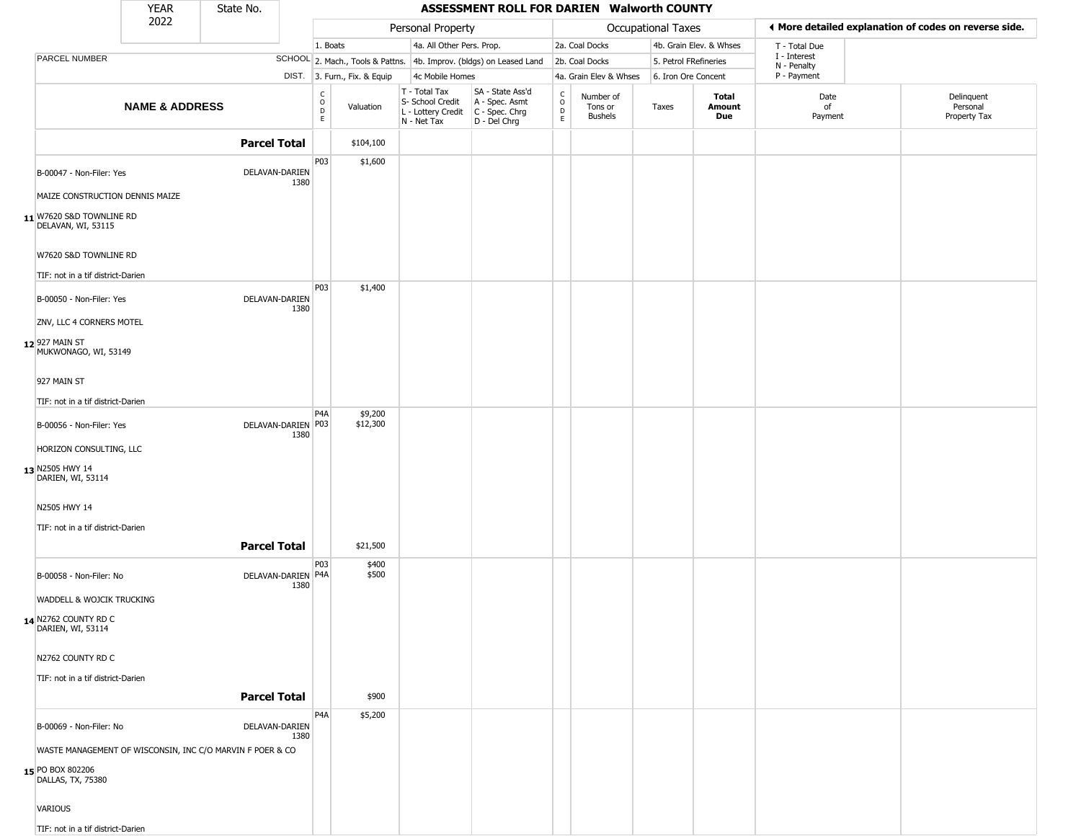|                                                            | <b>YEAR</b>               | State No.                                                 |      |                                                          |                              |                                                                                         | ASSESSMENT ROLL FOR DARIEN Walworth COUNTY                          |                         |                                 |                       |                         |                             |                                                       |
|------------------------------------------------------------|---------------------------|-----------------------------------------------------------|------|----------------------------------------------------------|------------------------------|-----------------------------------------------------------------------------------------|---------------------------------------------------------------------|-------------------------|---------------------------------|-----------------------|-------------------------|-----------------------------|-------------------------------------------------------|
|                                                            | 2022                      |                                                           |      |                                                          |                              | Personal Property                                                                       |                                                                     |                         |                                 | Occupational Taxes    |                         |                             | ◀ More detailed explanation of codes on reverse side. |
|                                                            |                           |                                                           |      | 1. Boats                                                 |                              | 4a. All Other Pers. Prop.                                                               |                                                                     |                         | 2a. Coal Docks                  |                       | 4b. Grain Elev. & Whses | T - Total Due               |                                                       |
| PARCEL NUMBER                                              |                           |                                                           |      |                                                          |                              |                                                                                         | SCHOOL 2. Mach., Tools & Pattns. 4b. Improv. (bldgs) on Leased Land |                         | 2b. Coal Docks                  | 5. Petrol FRefineries |                         | I - Interest<br>N - Penalty |                                                       |
|                                                            |                           |                                                           |      |                                                          | DIST. 3. Furn., Fix. & Equip | 4c Mobile Homes                                                                         |                                                                     |                         | 4a. Grain Elev & Whses          | 6. Iron Ore Concent   |                         | P - Payment                 |                                                       |
|                                                            | <b>NAME &amp; ADDRESS</b> |                                                           |      | $\begin{smallmatrix} C \\ O \\ D \end{smallmatrix}$<br>E | Valuation                    | T - Total Tax<br>S- School Credit<br>L - Lottery Credit   C - Spec. Chrg<br>N - Net Tax | SA - State Ass'd<br>A - Spec. Asmt<br>D - Del Chrg                  | C<br>$\circ$<br>D<br>E. | Number of<br>Tons or<br>Bushels | Taxes                 | Total<br>Amount<br>Due  | Date<br>of<br>Payment       | Delinquent<br>Personal<br>Property Tax                |
|                                                            |                           | <b>Parcel Total</b>                                       |      |                                                          | \$104,100                    |                                                                                         |                                                                     |                         |                                 |                       |                         |                             |                                                       |
| B-00047 - Non-Filer: Yes                                   |                           | DELAVAN-DARIEN                                            | 1380 | P03                                                      | \$1,600                      |                                                                                         |                                                                     |                         |                                 |                       |                         |                             |                                                       |
| MAIZE CONSTRUCTION DENNIS MAIZE                            |                           |                                                           |      |                                                          |                              |                                                                                         |                                                                     |                         |                                 |                       |                         |                             |                                                       |
| 11 W7620 S&D TOWNLINE RD<br>DELAVAN, WI, 53115             |                           |                                                           |      |                                                          |                              |                                                                                         |                                                                     |                         |                                 |                       |                         |                             |                                                       |
| W7620 S&D TOWNLINE RD<br>TIF: not in a tif district-Darien |                           |                                                           |      |                                                          |                              |                                                                                         |                                                                     |                         |                                 |                       |                         |                             |                                                       |
| B-00050 - Non-Filer: Yes                                   |                           | DELAVAN-DARIEN                                            | 1380 | <b>P03</b>                                               | \$1,400                      |                                                                                         |                                                                     |                         |                                 |                       |                         |                             |                                                       |
| ZNV, LLC 4 CORNERS MOTEL                                   |                           |                                                           |      |                                                          |                              |                                                                                         |                                                                     |                         |                                 |                       |                         |                             |                                                       |
| 12 927 MAIN ST<br>MUKWONAGO, WI, 53149                     |                           |                                                           |      |                                                          |                              |                                                                                         |                                                                     |                         |                                 |                       |                         |                             |                                                       |
| 927 MAIN ST                                                |                           |                                                           |      |                                                          |                              |                                                                                         |                                                                     |                         |                                 |                       |                         |                             |                                                       |
| TIF: not in a tif district-Darien                          |                           |                                                           |      |                                                          |                              |                                                                                         |                                                                     |                         |                                 |                       |                         |                             |                                                       |
| B-00056 - Non-Filer: Yes                                   |                           | DELAVAN-DARIEN   P03                                      | 1380 | P4A                                                      | \$9,200<br>\$12,300          |                                                                                         |                                                                     |                         |                                 |                       |                         |                             |                                                       |
| HORIZON CONSULTING, LLC                                    |                           |                                                           |      |                                                          |                              |                                                                                         |                                                                     |                         |                                 |                       |                         |                             |                                                       |
| 13 N2505 HWY 14<br>DARIEN, WI, 53114                       |                           |                                                           |      |                                                          |                              |                                                                                         |                                                                     |                         |                                 |                       |                         |                             |                                                       |
| N2505 HWY 14                                               |                           |                                                           |      |                                                          |                              |                                                                                         |                                                                     |                         |                                 |                       |                         |                             |                                                       |
| TIF: not in a tif district-Darien                          |                           | <b>Parcel Total</b>                                       |      |                                                          | \$21,500                     |                                                                                         |                                                                     |                         |                                 |                       |                         |                             |                                                       |
| B-00058 - Non-Filer: No                                    |                           | DELAVAN-DARIEN P4A                                        |      | P03                                                      | \$400<br>\$500               |                                                                                         |                                                                     |                         |                                 |                       |                         |                             |                                                       |
| WADDELL & WOJCIK TRUCKING                                  |                           |                                                           | 1380 |                                                          |                              |                                                                                         |                                                                     |                         |                                 |                       |                         |                             |                                                       |
|                                                            |                           |                                                           |      |                                                          |                              |                                                                                         |                                                                     |                         |                                 |                       |                         |                             |                                                       |
| 14 N2762 COUNTY RD C<br>DARIEN, WI, 53114                  |                           |                                                           |      |                                                          |                              |                                                                                         |                                                                     |                         |                                 |                       |                         |                             |                                                       |
| N2762 COUNTY RD C                                          |                           |                                                           |      |                                                          |                              |                                                                                         |                                                                     |                         |                                 |                       |                         |                             |                                                       |
| TIF: not in a tif district-Darien                          |                           |                                                           |      |                                                          |                              |                                                                                         |                                                                     |                         |                                 |                       |                         |                             |                                                       |
|                                                            |                           | <b>Parcel Total</b>                                       |      |                                                          | \$900                        |                                                                                         |                                                                     |                         |                                 |                       |                         |                             |                                                       |
| B-00069 - Non-Filer: No                                    |                           | DELAVAN-DARIEN                                            | 1380 | P4A                                                      | \$5,200                      |                                                                                         |                                                                     |                         |                                 |                       |                         |                             |                                                       |
|                                                            |                           | WASTE MANAGEMENT OF WISCONSIN, INC C/O MARVIN F POER & CO |      |                                                          |                              |                                                                                         |                                                                     |                         |                                 |                       |                         |                             |                                                       |
| 15 PO BOX 802206<br>DALLAS, TX, 75380                      |                           |                                                           |      |                                                          |                              |                                                                                         |                                                                     |                         |                                 |                       |                         |                             |                                                       |
| VARIOUS                                                    |                           |                                                           |      |                                                          |                              |                                                                                         |                                                                     |                         |                                 |                       |                         |                             |                                                       |
| TIF: not in a tif district-Darien                          |                           |                                                           |      |                                                          |                              |                                                                                         |                                                                     |                         |                                 |                       |                         |                             |                                                       |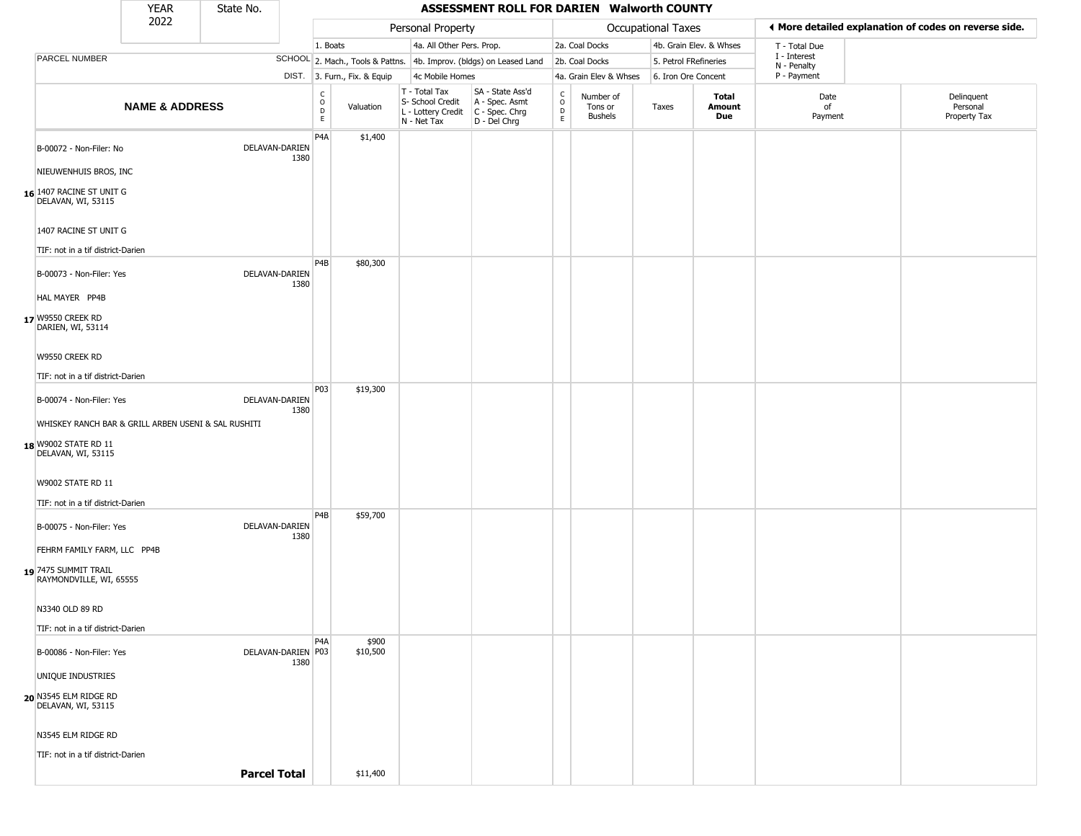|                                                                                 | <b>YEAR</b>               | State No.           |      |                                                 |                                  |                                                                        | ASSESSMENT ROLL FOR DARIEN Walworth COUNTY                           |                                              |                                        |                    |                         |                             |                                                       |
|---------------------------------------------------------------------------------|---------------------------|---------------------|------|-------------------------------------------------|----------------------------------|------------------------------------------------------------------------|----------------------------------------------------------------------|----------------------------------------------|----------------------------------------|--------------------|-------------------------|-----------------------------|-------------------------------------------------------|
|                                                                                 | 2022                      |                     |      |                                                 |                                  | Personal Property                                                      |                                                                      |                                              |                                        | Occupational Taxes |                         |                             | ◀ More detailed explanation of codes on reverse side. |
|                                                                                 |                           |                     |      | 1. Boats                                        |                                  | 4a. All Other Pers. Prop.                                              |                                                                      |                                              | 2a. Coal Docks                         |                    | 4b. Grain Elev. & Whses | T - Total Due               |                                                       |
| PARCEL NUMBER                                                                   |                           |                     |      |                                                 | SCHOOL 2. Mach., Tools & Pattns. |                                                                        | 4b. Improv. (bldgs) on Leased Land                                   |                                              | 2b. Coal Docks                         |                    | 5. Petrol FRefineries   | I - Interest<br>N - Penalty |                                                       |
|                                                                                 |                           |                     |      |                                                 | DIST. 3. Furn., Fix. & Equip     | 4c Mobile Homes                                                        |                                                                      |                                              | 4a. Grain Elev & Whses                 |                    | 6. Iron Ore Concent     | P - Payment                 |                                                       |
|                                                                                 | <b>NAME &amp; ADDRESS</b> |                     |      | $\begin{array}{c} C \\ O \\ D \\ E \end{array}$ | Valuation                        | T - Total Tax<br>S- School Credit<br>L - Lottery Credit<br>N - Net Tax | SA - State Ass'd<br>A - Spec. Asmt<br>C - Spec. Chrg<br>D - Del Chrg | $\int_{0}^{c}$<br>$\mathsf D$<br>$\mathsf E$ | Number of<br>Tons or<br><b>Bushels</b> | Taxes              | Total<br>Amount<br>Due  | Date<br>of<br>Payment       | Delinquent<br>Personal<br>Property Tax                |
| B-00072 - Non-Filer: No                                                         |                           | DELAVAN-DARIEN      | 1380 | P <sub>4</sub> A                                | \$1,400                          |                                                                        |                                                                      |                                              |                                        |                    |                         |                             |                                                       |
| NIEUWENHUIS BROS, INC<br>16 1407 RACINE ST UNIT G<br>DELAVAN, WI, 53115         |                           |                     |      |                                                 |                                  |                                                                        |                                                                      |                                              |                                        |                    |                         |                             |                                                       |
| 1407 RACINE ST UNIT G                                                           |                           |                     |      |                                                 |                                  |                                                                        |                                                                      |                                              |                                        |                    |                         |                             |                                                       |
| TIF: not in a tif district-Darien                                               |                           |                     |      |                                                 |                                  |                                                                        |                                                                      |                                              |                                        |                    |                         |                             |                                                       |
| B-00073 - Non-Filer: Yes<br>HAL MAYER PP4B                                      |                           | DELAVAN-DARIEN      | 1380 | P <sub>4</sub> B                                | \$80,300                         |                                                                        |                                                                      |                                              |                                        |                    |                         |                             |                                                       |
| 17 W9550 CREEK RD<br>DARIEN, WI, 53114                                          |                           |                     |      |                                                 |                                  |                                                                        |                                                                      |                                              |                                        |                    |                         |                             |                                                       |
| W9550 CREEK RD                                                                  |                           |                     |      |                                                 |                                  |                                                                        |                                                                      |                                              |                                        |                    |                         |                             |                                                       |
| TIF: not in a tif district-Darien                                               |                           |                     |      | P03                                             | \$19,300                         |                                                                        |                                                                      |                                              |                                        |                    |                         |                             |                                                       |
| B-00074 - Non-Filer: Yes<br>WHISKEY RANCH BAR & GRILL ARBEN USENI & SAL RUSHITI |                           | DELAVAN-DARIEN      | 1380 |                                                 |                                  |                                                                        |                                                                      |                                              |                                        |                    |                         |                             |                                                       |
| 18 W9002 STATE RD 11<br>DELAVAN, WI, 53115                                      |                           |                     |      |                                                 |                                  |                                                                        |                                                                      |                                              |                                        |                    |                         |                             |                                                       |
| <b>W9002 STATE RD 11</b>                                                        |                           |                     |      |                                                 |                                  |                                                                        |                                                                      |                                              |                                        |                    |                         |                             |                                                       |
| TIF: not in a tif district-Darien                                               |                           |                     |      | P <sub>4</sub> B                                | \$59,700                         |                                                                        |                                                                      |                                              |                                        |                    |                         |                             |                                                       |
| B-00075 - Non-Filer: Yes<br>FEHRM FAMILY FARM, LLC PP4B                         |                           | DELAVAN-DARIEN      | 1380 |                                                 |                                  |                                                                        |                                                                      |                                              |                                        |                    |                         |                             |                                                       |
| 19 7475 SUMMIT TRAIL<br>RAYMONDVILLE, WI, 65555                                 |                           |                     |      |                                                 |                                  |                                                                        |                                                                      |                                              |                                        |                    |                         |                             |                                                       |
| N3340 OLD 89 RD<br>TIF: not in a tif district-Darien                            |                           |                     |      |                                                 |                                  |                                                                        |                                                                      |                                              |                                        |                    |                         |                             |                                                       |
| B-00086 - Non-Filer: Yes                                                        |                           | DELAVAN-DARIEN P03  | 1380 | P4A                                             | \$900<br>\$10,500                |                                                                        |                                                                      |                                              |                                        |                    |                         |                             |                                                       |
| UNIQUE INDUSTRIES                                                               |                           |                     |      |                                                 |                                  |                                                                        |                                                                      |                                              |                                        |                    |                         |                             |                                                       |
| 20 N3545 ELM RIDGE RD<br>DELAVAN, WI, 53115                                     |                           |                     |      |                                                 |                                  |                                                                        |                                                                      |                                              |                                        |                    |                         |                             |                                                       |
| N3545 ELM RIDGE RD                                                              |                           |                     |      |                                                 |                                  |                                                                        |                                                                      |                                              |                                        |                    |                         |                             |                                                       |
| TIF: not in a tif district-Darien                                               |                           |                     |      |                                                 |                                  |                                                                        |                                                                      |                                              |                                        |                    |                         |                             |                                                       |
|                                                                                 |                           | <b>Parcel Total</b> |      |                                                 | \$11,400                         |                                                                        |                                                                      |                                              |                                        |                    |                         |                             |                                                       |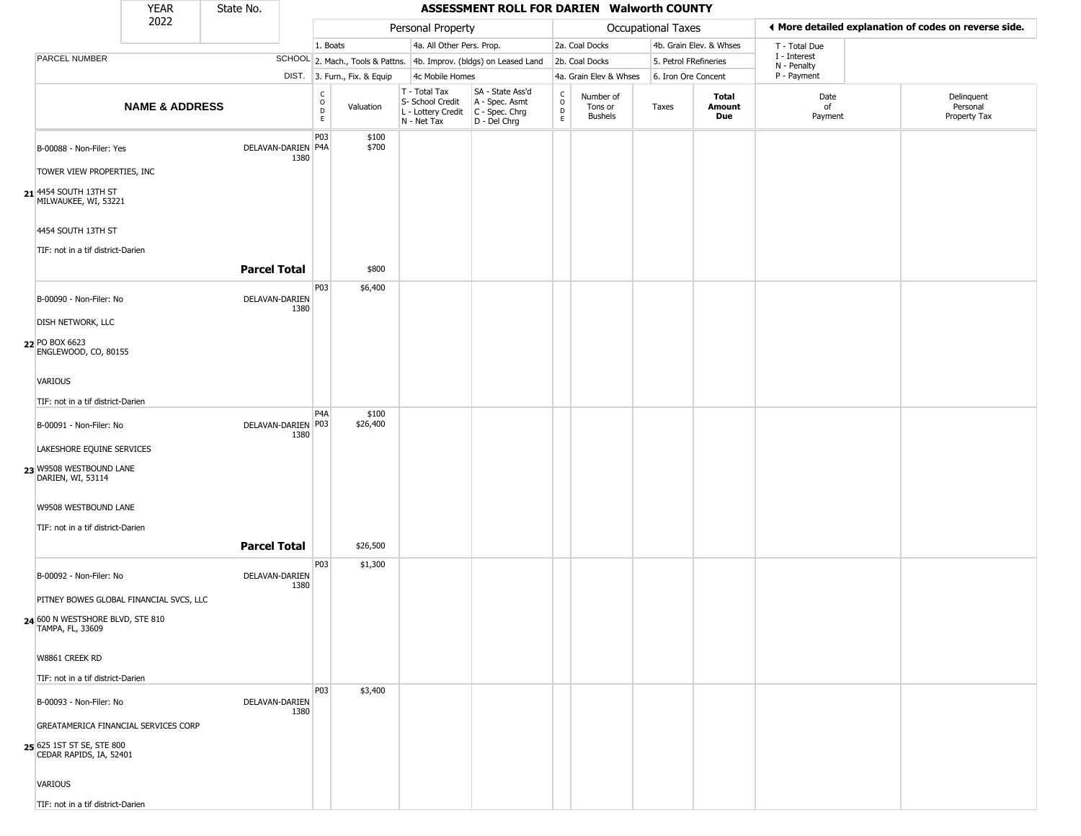|                                                         | <b>YEAR</b>               | State No.            |      |                                                          |                                  |                                                                        | ASSESSMENT ROLL FOR DARIEN Walworth COUNTY                           |                                                          |                                        |                       |                         |                             |                                                       |
|---------------------------------------------------------|---------------------------|----------------------|------|----------------------------------------------------------|----------------------------------|------------------------------------------------------------------------|----------------------------------------------------------------------|----------------------------------------------------------|----------------------------------------|-----------------------|-------------------------|-----------------------------|-------------------------------------------------------|
|                                                         | 2022                      |                      |      |                                                          |                                  | Personal Property                                                      |                                                                      |                                                          |                                        | Occupational Taxes    |                         |                             | ♦ More detailed explanation of codes on reverse side. |
|                                                         |                           |                      |      | 1. Boats                                                 |                                  | 4a. All Other Pers. Prop.                                              |                                                                      |                                                          | 2a. Coal Docks                         |                       | 4b. Grain Elev. & Whses | T - Total Due               |                                                       |
| <b>PARCEL NUMBER</b>                                    |                           |                      |      |                                                          | SCHOOL 2. Mach., Tools & Pattns. |                                                                        | 4b. Improv. (bldgs) on Leased Land                                   |                                                          | 2b. Coal Docks                         | 5. Petrol FRefineries |                         | I - Interest<br>N - Penalty |                                                       |
|                                                         |                           |                      |      |                                                          | DIST. 3. Furn., Fix. & Equip     | 4c Mobile Homes                                                        |                                                                      |                                                          | 4a. Grain Elev & Whses                 | 6. Iron Ore Concent   |                         | P - Payment                 |                                                       |
|                                                         | <b>NAME &amp; ADDRESS</b> |                      |      | $\begin{matrix} 0 \\ 0 \\ 0 \end{matrix}$<br>$\mathsf E$ | Valuation                        | T - Total Tax<br>S- School Credit<br>L - Lottery Credit<br>N - Net Tax | SA - State Ass'd<br>A - Spec. Asmt<br>C - Spec. Chrg<br>D - Del Chrg | $\begin{matrix} 0 \\ 0 \\ D \end{matrix}$<br>$\mathsf E$ | Number of<br>Tons or<br><b>Bushels</b> | Taxes                 | Total<br>Amount<br>Due  | Date<br>of<br>Payment       | Delinquent<br>Personal<br>Property Tax                |
| B-00088 - Non-Filer: Yes                                |                           | DELAVAN-DARIEN P4A   | 1380 | P03                                                      | \$100<br>\$700                   |                                                                        |                                                                      |                                                          |                                        |                       |                         |                             |                                                       |
| TOWER VIEW PROPERTIES, INC                              |                           |                      |      |                                                          |                                  |                                                                        |                                                                      |                                                          |                                        |                       |                         |                             |                                                       |
| 21 4454 SOUTH 13TH ST<br>MILWAUKEE, WI, 53221           |                           |                      |      |                                                          |                                  |                                                                        |                                                                      |                                                          |                                        |                       |                         |                             |                                                       |
| 4454 SOUTH 13TH ST<br>TIF: not in a tif district-Darien |                           |                      |      |                                                          |                                  |                                                                        |                                                                      |                                                          |                                        |                       |                         |                             |                                                       |
|                                                         |                           | <b>Parcel Total</b>  |      |                                                          | \$800                            |                                                                        |                                                                      |                                                          |                                        |                       |                         |                             |                                                       |
| B-00090 - Non-Filer: No                                 |                           | DELAVAN-DARIEN       | 1380 | P03                                                      | \$6,400                          |                                                                        |                                                                      |                                                          |                                        |                       |                         |                             |                                                       |
| <b>DISH NETWORK, LLC</b>                                |                           |                      |      |                                                          |                                  |                                                                        |                                                                      |                                                          |                                        |                       |                         |                             |                                                       |
| 22 PO BOX 6623<br>ENGLEWOOD, CO, 80155                  |                           |                      |      |                                                          |                                  |                                                                        |                                                                      |                                                          |                                        |                       |                         |                             |                                                       |
| <b>VARIOUS</b>                                          |                           |                      |      |                                                          |                                  |                                                                        |                                                                      |                                                          |                                        |                       |                         |                             |                                                       |
| TIF: not in a tif district-Darien                       |                           |                      |      |                                                          |                                  |                                                                        |                                                                      |                                                          |                                        |                       |                         |                             |                                                       |
| B-00091 - Non-Filer: No                                 |                           | DELAVAN-DARIEN   P03 | 1380 | P <sub>4</sub> A                                         | \$100<br>\$26,400                |                                                                        |                                                                      |                                                          |                                        |                       |                         |                             |                                                       |
| LAKESHORE EQUINE SERVICES                               |                           |                      |      |                                                          |                                  |                                                                        |                                                                      |                                                          |                                        |                       |                         |                             |                                                       |
| 23 W9508 WESTBOUND LANE<br>DARIEN, WI, 53114            |                           |                      |      |                                                          |                                  |                                                                        |                                                                      |                                                          |                                        |                       |                         |                             |                                                       |
| W9508 WESTBOUND LANE                                    |                           |                      |      |                                                          |                                  |                                                                        |                                                                      |                                                          |                                        |                       |                         |                             |                                                       |
| TIF: not in a tif district-Darien                       |                           |                      |      |                                                          |                                  |                                                                        |                                                                      |                                                          |                                        |                       |                         |                             |                                                       |
|                                                         |                           | <b>Parcel Total</b>  |      |                                                          | \$26,500                         |                                                                        |                                                                      |                                                          |                                        |                       |                         |                             |                                                       |
| B-00092 - Non-Filer: No                                 |                           | DELAVAN-DARIEN       | 1380 | P03                                                      | \$1,300                          |                                                                        |                                                                      |                                                          |                                        |                       |                         |                             |                                                       |
| PITNEY BOWES GLOBAL FINANCIAL SVCS, LLC                 |                           |                      |      |                                                          |                                  |                                                                        |                                                                      |                                                          |                                        |                       |                         |                             |                                                       |
| 24 600 N WESTSHORE BLVD, STE 810<br>TAMPA, FL, 33609    |                           |                      |      |                                                          |                                  |                                                                        |                                                                      |                                                          |                                        |                       |                         |                             |                                                       |
| W8861 CREEK RD                                          |                           |                      |      |                                                          |                                  |                                                                        |                                                                      |                                                          |                                        |                       |                         |                             |                                                       |
| TIF: not in a tif district-Darien                       |                           |                      |      |                                                          |                                  |                                                                        |                                                                      |                                                          |                                        |                       |                         |                             |                                                       |
| B-00093 - Non-Filer: No                                 |                           | DELAVAN-DARIEN       | 1380 | <b>P03</b>                                               | \$3,400                          |                                                                        |                                                                      |                                                          |                                        |                       |                         |                             |                                                       |
| GREATAMERICA FINANCIAL SERVICES CORP                    |                           |                      |      |                                                          |                                  |                                                                        |                                                                      |                                                          |                                        |                       |                         |                             |                                                       |
| 25 625 1ST ST SE, STE 800<br>CEDAR RAPIDS, IA, 52401    |                           |                      |      |                                                          |                                  |                                                                        |                                                                      |                                                          |                                        |                       |                         |                             |                                                       |
| VARIOUS                                                 |                           |                      |      |                                                          |                                  |                                                                        |                                                                      |                                                          |                                        |                       |                         |                             |                                                       |
| TIF: not in a tif district-Darien                       |                           |                      |      |                                                          |                                  |                                                                        |                                                                      |                                                          |                                        |                       |                         |                             |                                                       |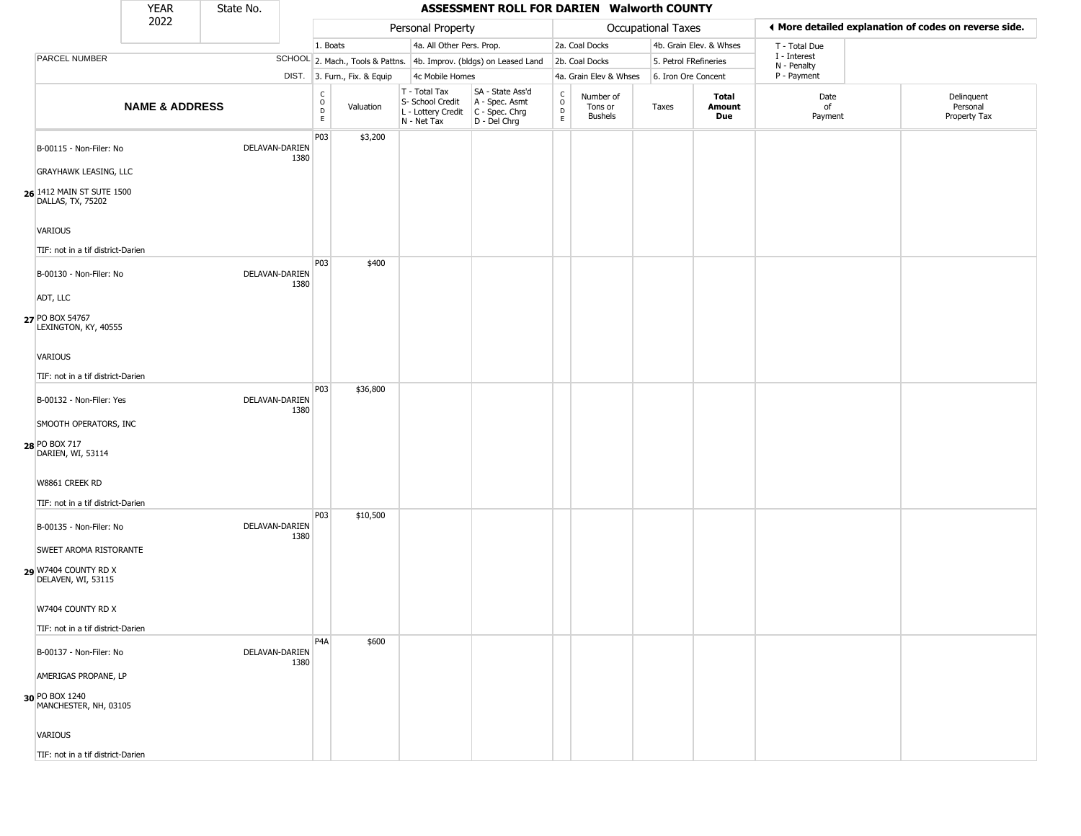|                                                                         | <b>YEAR</b>               | State No. |                        |                                |                              |                                                                                       | ASSESSMENT ROLL FOR DARIEN Walworth COUNTY                          |                                     |                                        |                       |                         |                             |                                                       |
|-------------------------------------------------------------------------|---------------------------|-----------|------------------------|--------------------------------|------------------------------|---------------------------------------------------------------------------------------|---------------------------------------------------------------------|-------------------------------------|----------------------------------------|-----------------------|-------------------------|-----------------------------|-------------------------------------------------------|
|                                                                         | 2022                      |           |                        |                                |                              | Personal Property                                                                     |                                                                     |                                     |                                        | Occupational Taxes    |                         |                             | I More detailed explanation of codes on reverse side. |
|                                                                         |                           |           |                        | 1. Boats                       |                              | 4a. All Other Pers. Prop.                                                             |                                                                     |                                     | 2a. Coal Docks                         |                       | 4b. Grain Elev. & Whses | T - Total Due               |                                                       |
| PARCEL NUMBER                                                           |                           |           |                        |                                |                              |                                                                                       | SCHOOL 2. Mach., Tools & Pattns. 4b. Improv. (bldgs) on Leased Land |                                     | 2b. Coal Docks                         | 5. Petrol FRefineries |                         | I - Interest<br>N - Penalty |                                                       |
|                                                                         |                           |           |                        |                                | DIST. 3. Furn., Fix. & Equip | 4c Mobile Homes                                                                       |                                                                     |                                     | 4a. Grain Elev & Whses                 | 6. Iron Ore Concent   |                         | P - Payment                 |                                                       |
|                                                                         | <b>NAME &amp; ADDRESS</b> |           |                        | $\rm _o^C$<br>$\mathsf D$<br>E | Valuation                    | T - Total Tax<br>S- School Credit<br>L - Lottery Credit C - Spec. Chrg<br>N - Net Tax | SA - State Ass'd<br>A - Spec. Asmt<br>D - Del Chrg                  | $\int_{0}^{c}$<br>$\mathsf{D}$<br>E | Number of<br>Tons or<br><b>Bushels</b> | Taxes                 | Total<br>Amount<br>Due  | Date<br>of<br>Payment       | Delinquent<br>Personal<br>Property Tax                |
| B-00115 - Non-Filer: No                                                 |                           |           | DELAVAN-DARIEN<br>1380 | P03                            | \$3,200                      |                                                                                       |                                                                     |                                     |                                        |                       |                         |                             |                                                       |
| GRAYHAWK LEASING, LLC<br>26 1412 MAIN ST SUTE 1500<br>DALLAS, TX, 75202 |                           |           |                        |                                |                              |                                                                                       |                                                                     |                                     |                                        |                       |                         |                             |                                                       |
| VARIOUS<br>TIF: not in a tif district-Darien                            |                           |           |                        |                                |                              |                                                                                       |                                                                     |                                     |                                        |                       |                         |                             |                                                       |
| B-00130 - Non-Filer: No<br>ADT, LLC                                     |                           |           | DELAVAN-DARIEN<br>1380 | P03                            | \$400                        |                                                                                       |                                                                     |                                     |                                        |                       |                         |                             |                                                       |
| 27 PO BOX 54767<br>LEXINGTON, KY, 40555                                 |                           |           |                        |                                |                              |                                                                                       |                                                                     |                                     |                                        |                       |                         |                             |                                                       |
| VARIOUS                                                                 |                           |           |                        |                                |                              |                                                                                       |                                                                     |                                     |                                        |                       |                         |                             |                                                       |
| TIF: not in a tif district-Darien                                       |                           |           |                        |                                |                              |                                                                                       |                                                                     |                                     |                                        |                       |                         |                             |                                                       |
| B-00132 - Non-Filer: Yes                                                |                           |           | DELAVAN-DARIEN<br>1380 | P03                            | \$36,800                     |                                                                                       |                                                                     |                                     |                                        |                       |                         |                             |                                                       |
| SMOOTH OPERATORS, INC<br>28 PO BOX 717<br>DARIEN, WI, 53114             |                           |           |                        |                                |                              |                                                                                       |                                                                     |                                     |                                        |                       |                         |                             |                                                       |
| W8861 CREEK RD<br>TIF: not in a tif district-Darien                     |                           |           |                        |                                |                              |                                                                                       |                                                                     |                                     |                                        |                       |                         |                             |                                                       |
| B-00135 - Non-Filer: No                                                 |                           |           | DELAVAN-DARIEN<br>1380 | P03                            | \$10,500                     |                                                                                       |                                                                     |                                     |                                        |                       |                         |                             |                                                       |
| SWEET AROMA RISTORANTE<br>29 W7404 COUNTY RD X<br>DELAVEN, WI, 53115    |                           |           |                        |                                |                              |                                                                                       |                                                                     |                                     |                                        |                       |                         |                             |                                                       |
| W7404 COUNTY RD X<br>TIF: not in a tif district-Darien                  |                           |           |                        |                                |                              |                                                                                       |                                                                     |                                     |                                        |                       |                         |                             |                                                       |
| B-00137 - Non-Filer: No                                                 |                           |           | DELAVAN-DARIEN<br>1380 | P <sub>4</sub> A               | \$600                        |                                                                                       |                                                                     |                                     |                                        |                       |                         |                             |                                                       |
| AMERIGAS PROPANE, LP                                                    |                           |           |                        |                                |                              |                                                                                       |                                                                     |                                     |                                        |                       |                         |                             |                                                       |
| 30 PO BOX 1240<br>MANCHESTER, NH, 03105                                 |                           |           |                        |                                |                              |                                                                                       |                                                                     |                                     |                                        |                       |                         |                             |                                                       |
| VARIOUS                                                                 |                           |           |                        |                                |                              |                                                                                       |                                                                     |                                     |                                        |                       |                         |                             |                                                       |
| TIF: not in a tif district-Darien                                       |                           |           |                        |                                |                              |                                                                                       |                                                                     |                                     |                                        |                       |                         |                             |                                                       |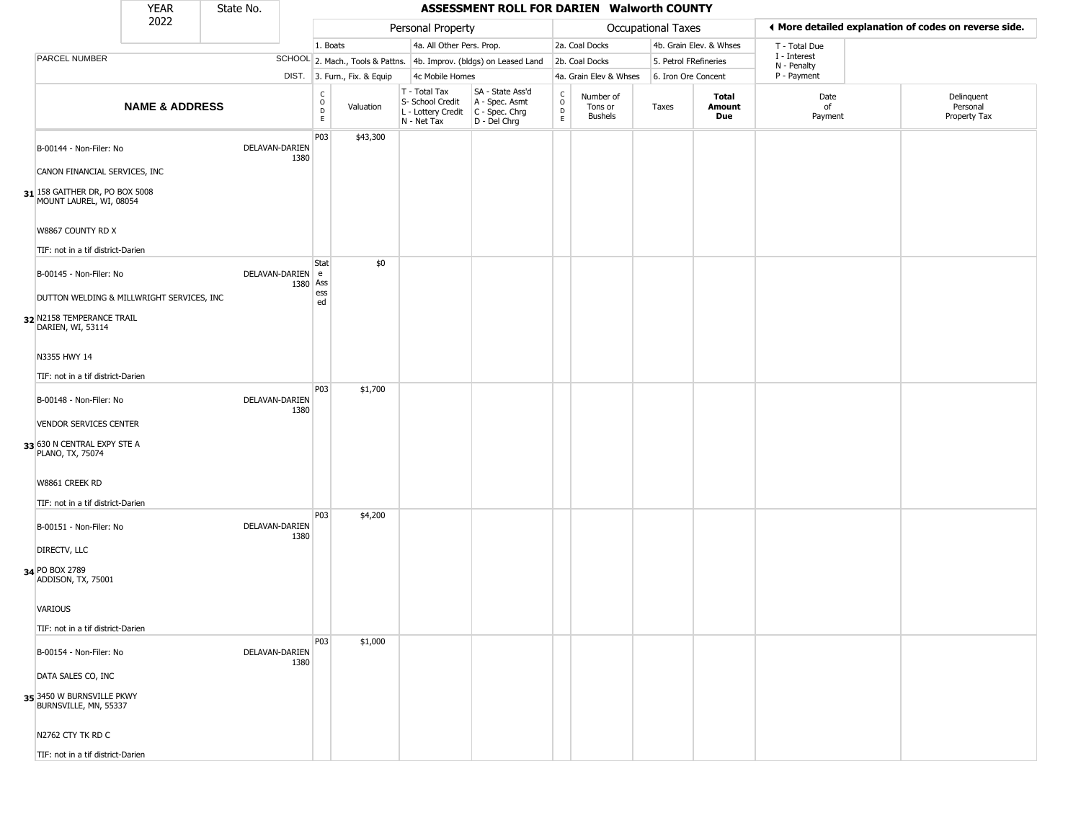|                                                                        | <b>YEAR</b>                               | State No.      |          |                                                 |                              |                                                                                         | ASSESSMENT ROLL FOR DARIEN Walworth COUNTY                          |                                             |                                        |                    |                         |                             |                                                       |
|------------------------------------------------------------------------|-------------------------------------------|----------------|----------|-------------------------------------------------|------------------------------|-----------------------------------------------------------------------------------------|---------------------------------------------------------------------|---------------------------------------------|----------------------------------------|--------------------|-------------------------|-----------------------------|-------------------------------------------------------|
|                                                                        | 2022                                      |                |          |                                                 |                              | Personal Property                                                                       |                                                                     |                                             |                                        | Occupational Taxes |                         |                             | ♦ More detailed explanation of codes on reverse side. |
|                                                                        |                                           |                |          | 1. Boats                                        |                              | 4a. All Other Pers. Prop.                                                               |                                                                     |                                             | 2a. Coal Docks                         |                    | 4b. Grain Elev. & Whses | T - Total Due               |                                                       |
| PARCEL NUMBER                                                          |                                           |                |          |                                                 |                              |                                                                                         | SCHOOL 2. Mach., Tools & Pattns. 4b. Improv. (bldgs) on Leased Land |                                             | 2b. Coal Docks                         |                    | 5. Petrol FRefineries   | I - Interest<br>N - Penalty |                                                       |
|                                                                        |                                           |                |          |                                                 | DIST. 3. Furn., Fix. & Equip | 4c Mobile Homes                                                                         |                                                                     |                                             | 4a. Grain Elev & Whses                 |                    | 6. Iron Ore Concent     | P - Payment                 |                                                       |
|                                                                        | <b>NAME &amp; ADDRESS</b>                 |                |          | $\begin{array}{c} C \\ O \\ D \\ E \end{array}$ | Valuation                    | T - Total Tax<br>S- School Credit<br>L - Lottery Credit   C - Spec. Chrg<br>N - Net Tax | SA - State Ass'd<br>A - Spec. Asmt<br>D - Del Chrg                  | $\int_{0}^{c}$<br>$\mathsf{D}_{\mathsf{E}}$ | Number of<br>Tons or<br><b>Bushels</b> | Taxes              | Total<br>Amount<br>Due  | Date<br>of<br>Payment       | Delinquent<br>Personal<br>Property Tax                |
| B-00144 - Non-Filer: No                                                |                                           | DELAVAN-DARIEN | 1380     | P03                                             | \$43,300                     |                                                                                         |                                                                     |                                             |                                        |                    |                         |                             |                                                       |
| CANON FINANCIAL SERVICES, INC                                          |                                           |                |          |                                                 |                              |                                                                                         |                                                                     |                                             |                                        |                    |                         |                             |                                                       |
| $31$ <sup>158</sup> GAITHER DR, PO BOX 5008<br>MOUNT LAUREL, WI, 08054 |                                           |                |          |                                                 |                              |                                                                                         |                                                                     |                                             |                                        |                    |                         |                             |                                                       |
| W8867 COUNTY RD X<br>TIF: not in a tif district-Darien                 |                                           |                |          |                                                 |                              |                                                                                         |                                                                     |                                             |                                        |                    |                         |                             |                                                       |
| B-00145 - Non-Filer: No                                                |                                           | DELAVAN-DARIEN |          | Stat<br>e                                       | \$0                          |                                                                                         |                                                                     |                                             |                                        |                    |                         |                             |                                                       |
|                                                                        | DUTTON WELDING & MILLWRIGHT SERVICES, INC |                | 1380 Ass | ess<br>ed                                       |                              |                                                                                         |                                                                     |                                             |                                        |                    |                         |                             |                                                       |
| 32 N2158 TEMPERANCE TRAIL<br>DARIEN, WI, 53114                         |                                           |                |          |                                                 |                              |                                                                                         |                                                                     |                                             |                                        |                    |                         |                             |                                                       |
| N3355 HWY 14                                                           |                                           |                |          |                                                 |                              |                                                                                         |                                                                     |                                             |                                        |                    |                         |                             |                                                       |
| TIF: not in a tif district-Darien                                      |                                           |                |          |                                                 |                              |                                                                                         |                                                                     |                                             |                                        |                    |                         |                             |                                                       |
| B-00148 - Non-Filer: No                                                |                                           | DELAVAN-DARIEN | 1380     | P03                                             | \$1,700                      |                                                                                         |                                                                     |                                             |                                        |                    |                         |                             |                                                       |
| <b>VENDOR SERVICES CENTER</b>                                          |                                           |                |          |                                                 |                              |                                                                                         |                                                                     |                                             |                                        |                    |                         |                             |                                                       |
| 33 630 N CENTRAL EXPY STE A<br>PLANO, TX, 75074                        |                                           |                |          |                                                 |                              |                                                                                         |                                                                     |                                             |                                        |                    |                         |                             |                                                       |
| W8861 CREEK RD                                                         |                                           |                |          |                                                 |                              |                                                                                         |                                                                     |                                             |                                        |                    |                         |                             |                                                       |
| TIF: not in a tif district-Darien                                      |                                           |                |          |                                                 |                              |                                                                                         |                                                                     |                                             |                                        |                    |                         |                             |                                                       |
| B-00151 - Non-Filer: No                                                |                                           | DELAVAN-DARIEN | 1380     | <b>P03</b>                                      | \$4,200                      |                                                                                         |                                                                     |                                             |                                        |                    |                         |                             |                                                       |
| DIRECTV, LLC                                                           |                                           |                |          |                                                 |                              |                                                                                         |                                                                     |                                             |                                        |                    |                         |                             |                                                       |
| 34 PO BOX 2789<br>ADDISON, TX, 75001                                   |                                           |                |          |                                                 |                              |                                                                                         |                                                                     |                                             |                                        |                    |                         |                             |                                                       |
| VARIOUS                                                                |                                           |                |          |                                                 |                              |                                                                                         |                                                                     |                                             |                                        |                    |                         |                             |                                                       |
| TIF: not in a tif district-Darien                                      |                                           |                |          |                                                 |                              |                                                                                         |                                                                     |                                             |                                        |                    |                         |                             |                                                       |
| B-00154 - Non-Filer: No                                                |                                           | DELAVAN-DARIEN | 1380     | P03                                             | \$1,000                      |                                                                                         |                                                                     |                                             |                                        |                    |                         |                             |                                                       |
| DATA SALES CO, INC                                                     |                                           |                |          |                                                 |                              |                                                                                         |                                                                     |                                             |                                        |                    |                         |                             |                                                       |
| 35 3450 W BURNSVILLE PKWY<br>BURNSVILLE, MN, 55337                     |                                           |                |          |                                                 |                              |                                                                                         |                                                                     |                                             |                                        |                    |                         |                             |                                                       |
| N2762 CTY TK RD C                                                      |                                           |                |          |                                                 |                              |                                                                                         |                                                                     |                                             |                                        |                    |                         |                             |                                                       |
| TIF: not in a tif district-Darien                                      |                                           |                |          |                                                 |                              |                                                                                         |                                                                     |                                             |                                        |                    |                         |                             |                                                       |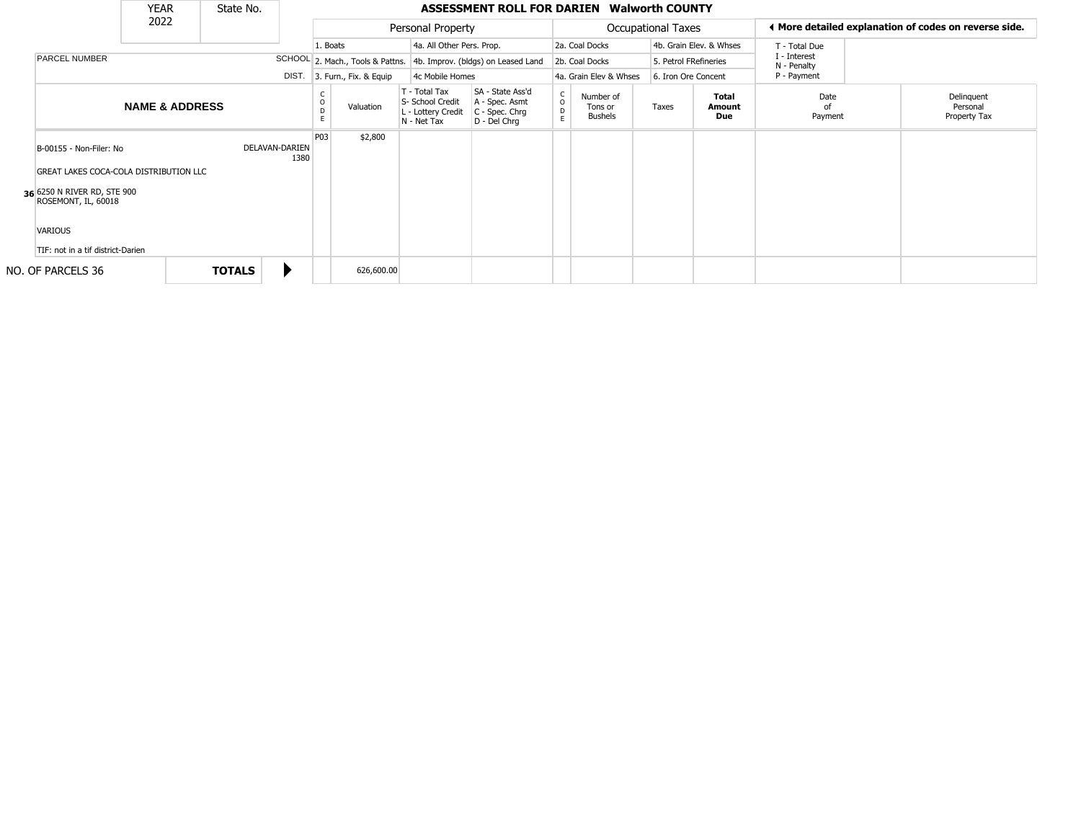|                                                                          | <b>YEAR</b>               | State No.     |                        |          |                        |                                                                        | <b>ASSESSMENT ROLL FOR DARIEN Walworth COUNTY</b>                      |                                     |                                        |                           |                               |                             |                                                       |
|--------------------------------------------------------------------------|---------------------------|---------------|------------------------|----------|------------------------|------------------------------------------------------------------------|------------------------------------------------------------------------|-------------------------------------|----------------------------------------|---------------------------|-------------------------------|-----------------------------|-------------------------------------------------------|
|                                                                          | 2022                      |               |                        |          |                        | Personal Property                                                      |                                                                        |                                     |                                        | <b>Occupational Taxes</b> |                               |                             | ◀ More detailed explanation of codes on reverse side. |
|                                                                          |                           |               |                        | 1. Boats |                        | 4a. All Other Pers. Prop.                                              |                                                                        |                                     | 2a. Coal Docks                         |                           | 4b. Grain Elev. & Whses       | T - Total Due               |                                                       |
| <b>PARCEL NUMBER</b>                                                     |                           |               |                        |          |                        |                                                                        | SCHOOL 2. Mach., Tools & Pattns. 4b. Improv. (bldgs) on Leased Land    |                                     | 2b. Coal Docks                         | 5. Petrol FRefineries     |                               | I - Interest<br>N - Penalty |                                                       |
|                                                                          |                           |               | DIST.                  |          | 3. Furn., Fix. & Equip | 4c Mobile Homes                                                        |                                                                        |                                     | 4a. Grain Elev & Whses                 | 6. Iron Ore Concent       |                               | P - Payment                 |                                                       |
|                                                                          | <b>NAME &amp; ADDRESS</b> |               |                        | D        | Valuation              | T - Total Tax<br>S- School Credit<br>L - Lottery Credit<br>N - Net Tax | SA - State Ass'd<br>A - Spec. Asmt<br>$C - Spec. Chrg$<br>D - Del Chrq | $\mathsf{C}$<br>$\overline{0}$<br>E | Number of<br>Tons or<br><b>Bushels</b> | Taxes                     | <b>Total</b><br>Amount<br>Due | Date<br>nf<br>Payment       | Delinquent<br>Personal<br>Property Tax                |
| B-00155 - Non-Filer: No<br><b>GREAT LAKES COCA-COLA DISTRIBUTION LLC</b> |                           |               | DELAVAN-DARIEN<br>1380 | P03      | \$2,800                |                                                                        |                                                                        |                                     |                                        |                           |                               |                             |                                                       |
| 36 6250 N RIVER RD, STE 900<br>ROSEMONT, IL, 60018                       |                           |               |                        |          |                        |                                                                        |                                                                        |                                     |                                        |                           |                               |                             |                                                       |
| <b>VARIOUS</b><br>TIF: not in a tif district-Darien                      |                           |               |                        |          |                        |                                                                        |                                                                        |                                     |                                        |                           |                               |                             |                                                       |
| NO. OF PARCELS 36                                                        |                           | <b>TOTALS</b> |                        |          | 626,600.00             |                                                                        |                                                                        |                                     |                                        |                           |                               |                             |                                                       |